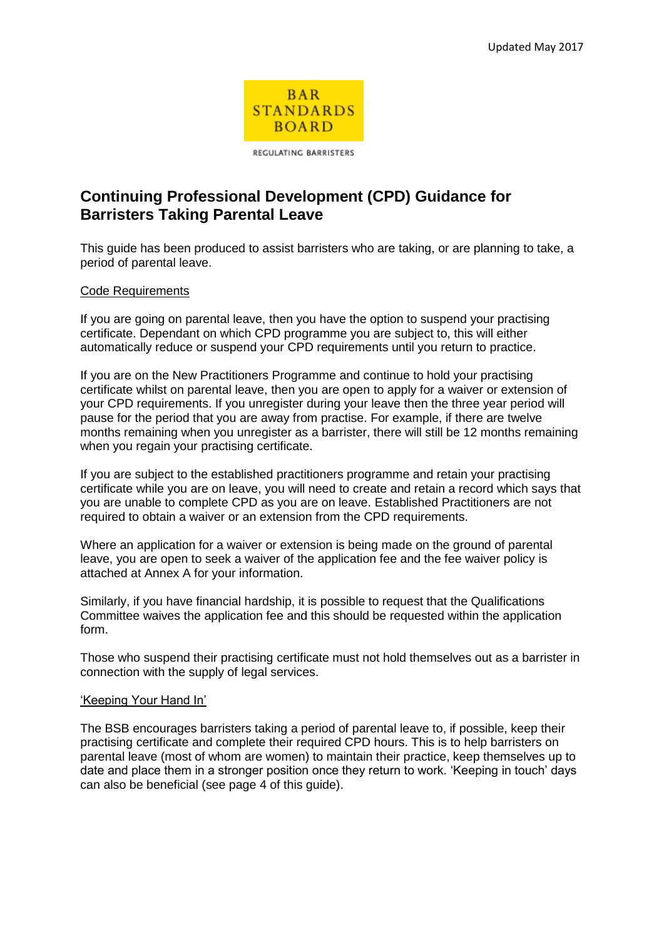

REGULATING BARRISTERS

# **Continuing Professional Development (CPD) Guidance for Barristers Taking Parental Leave**

This guide has been produced to assist barristers who are taking, or are planning to take, a period of parental leave.

# Code Requirements

If you are going on parental leave, then you have the option to suspend your practising certificate. Dependant on which CPD programme you are subject to, this will either automatically reduce or suspend your CPD requirements until you return to practice.

If you are on the New Practitioners Programme and continue to hold your practising certificate whilst on parental leave, then you are open to apply for a waiver or extension of your CPD requirements. If you unregister during your leave then the three year period will pause for the period that you are away from practise. For example, if there are twelve months remaining when you unregister as a barrister, there will still be 12 months remaining when you regain your practising certificate.

If you are subject to the established practitioners programme and retain your practising certificate while you are on leave, you will need to create and retain a record which says that you are unable to complete CPD as you are on leave. Established Practitioners are not required to obtain a waiver or an extension from the CPD requirements.

Where an application for a waiver or extension is being made on the ground of parental leave, you are open to seek a waiver of the application fee and the fee waiver policy is attached at Annex A for your information.

Similarly, if you have financial hardship, it is possible to request that the Qualifications Committee waives the application fee and this should be requested within the application form.

Those who suspend their practising certificate must not hold themselves out as a barrister in connection with the supply of legal services.

# 'Keeping Your Hand In'

The BSB encourages barristers taking a period of parental leave to, if possible, keep their practising certificate and complete their required CPD hours. This is to help barristers on parental leave (most of whom are women) to maintain their practice, keep themselves up to date and place them in a stronger position once they return to work. 'Keeping in touch' days can also be beneficial (see page 4 of this guide).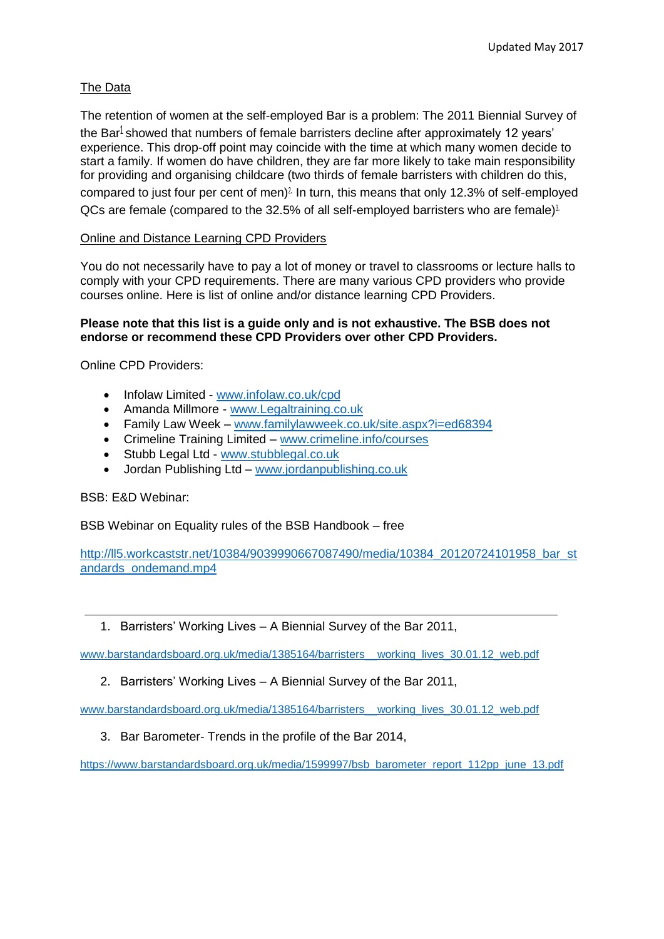# The Data

The retention of women at the self-employed Bar is a problem: The 2011 Biennial Survey of the Bar<sup>1</sup> showed that numbers of female barristers decline after approximately 12 years' experience. This drop-off point may coincide with the time at which many women decide to start a family. If women do have children, they are far more likely to take main responsibility for providing and organising childcare (two thirds of female barristers with children do this, compared to just four per cent of men)<sup>2</sup> In turn, this means that only 12.3% of self-employed QCs are female (compared to the 32.5% of all self-employed barristers who are female) $3$ .

# Online and Distance Learning CPD Providers

You do not necessarily have to pay a lot of money or travel to classrooms or lecture halls to comply with your CPD requirements. There are many various CPD providers who provide courses online. Here is list of online and/or distance learning CPD Providers.

#### **Please note that this list is a guide only and is not exhaustive. The BSB does not endorse or recommend these CPD Providers over other CPD Providers.**

Online CPD Providers:

- Infolaw Limited [www.infolaw.co.uk/cpd](http://www.infolaw.co.uk/cpd)
- Amanda Millmore [www.Legaltraining.co.uk](http://www.legaltraining.co.uk/)
- Family Law Week [www.familylawweek.co.uk/site.aspx?i=ed68394](http://www.familylawweek.co.uk/site.aspx?i=ed68394)
- Crimeline Training Limited [www.crimeline.info/courses](http://www.crimeline.info/courses)
- Stubb Legal Ltd [www.stubblegal.co.uk](http://www.stubblegal.co.uk/)
- Jordan Publishing Ltd [www.jordanpublishing.co.uk](http://www.jordanpublishing.co.uk/)

BSB: E&D Webinar:

BSB Webinar on Equality rules of the BSB Handbook – free

[http://ll5.workcaststr.net/10384/9039990667087490/media/10384\\_20120724101958\\_bar\\_st](http://ll5.workcaststr.net/10384/9039990667087490/media/10384_20120724101958_bar_standards_ondemand.mp4) [andards\\_ondemand.mp4](http://ll5.workcaststr.net/10384/9039990667087490/media/10384_20120724101958_bar_standards_ondemand.mp4)

1. Barristers' Working Lives – A Biennial Survey of the Bar 2011,

[www.barstandardsboard.org.uk/media/1385164/barristers\\_\\_working\\_lives\\_30.01.12\\_web.pdf](http://www.barstandardsboard.org.uk/media/1385164/barristers__working_lives_30.01.12_web.pdf)

2. Barristers' Working Lives – A Biennial Survey of the Bar 2011,

[www.barstandardsboard.org.uk/media/1385164/barristers\\_\\_working\\_lives\\_30.01.12\\_web.pdf](http://www.barstandardsboard.org.uk/media/1385164/barristers__working_lives_30.01.12_web.pdf)

3. Bar Barometer- Trends in the profile of the Bar 2014,

[https://www.barstandardsboard.org.uk/media/1599997/bsb\\_barometer\\_report\\_112pp\\_june\\_13.pdf](https://www.barstandardsboard.org.uk/media/1599997/bsb_barometer_report_112pp_june_13.pdf)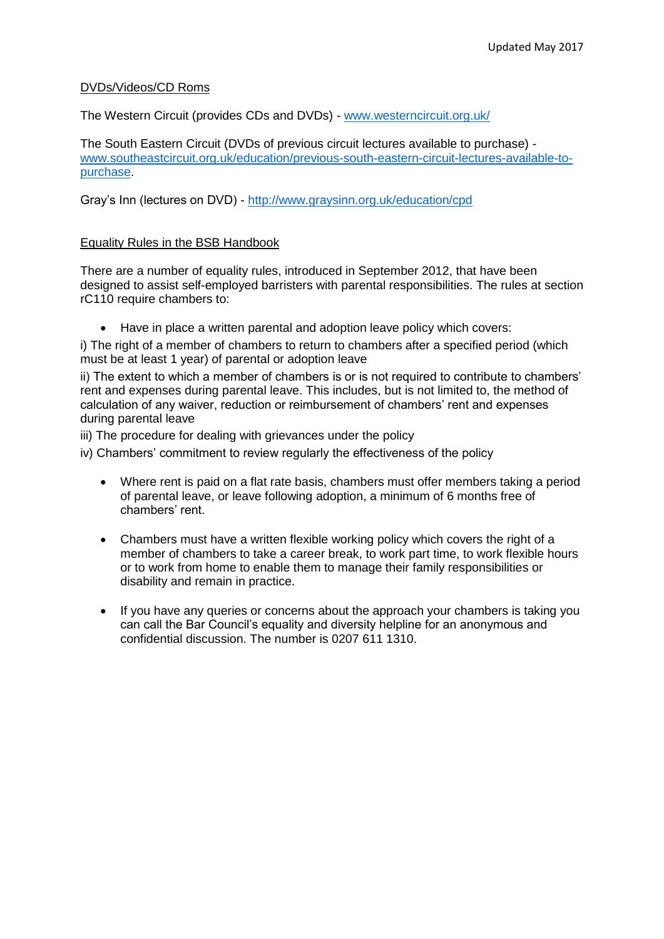#### DVDs/Videos/CD Roms

The Western Circuit (provides CDs and DVDs) - [www.westerncircuit.org.uk/](http://www.westerncircuit.org.uk/)

The South Eastern Circuit (DVDs of previous circuit lectures available to purchase) [www.southeastcircuit.org.uk/education/previous-south-eastern-circuit-lectures-available-to](http://www.southeastcircuit.org.uk/education/previous-south-eastern-circuit-lectures-available-to-purchase)[purchase.](http://www.southeastcircuit.org.uk/education/previous-south-eastern-circuit-lectures-available-to-purchase)

Gray's Inn (lectures on DVD) - <http://www.graysinn.org.uk/education/cpd>

#### Equality Rules in the BSB Handbook

There are a number of equality rules, introduced in September 2012, that have been designed to assist self-employed barristers with parental responsibilities. The rules at section rC110 require chambers to:

Have in place a written parental and adoption leave policy which covers:

i) The right of a member of chambers to return to chambers after a specified period (which must be at least 1 year) of parental or adoption leave

ii) The extent to which a member of chambers is or is not required to contribute to chambers' rent and expenses during parental leave. This includes, but is not limited to, the method of calculation of any waiver, reduction or reimbursement of chambers' rent and expenses during parental leave

iii) The procedure for dealing with grievances under the policy

iv) Chambers' commitment to review regularly the effectiveness of the policy

- Where rent is paid on a flat rate basis, chambers must offer members taking a period of parental leave, or leave following adoption, a minimum of 6 months free of chambers' rent.
- Chambers must have a written flexible working policy which covers the right of a member of chambers to take a career break, to work part time, to work flexible hours or to work from home to enable them to manage their family responsibilities or disability and remain in practice.
- If you have any queries or concerns about the approach your chambers is taking you can call the Bar Council's equality and diversity helpline for an anonymous and confidential discussion. The number is 0207 611 1310.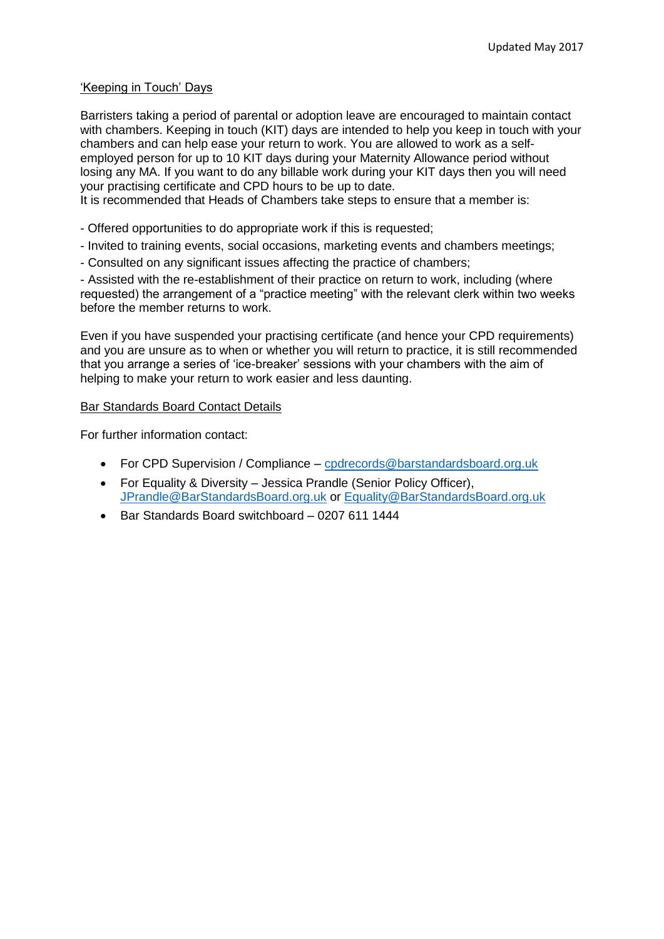#### 'Keeping in Touch' Days

Barristers taking a period of parental or adoption leave are encouraged to maintain contact with chambers. Keeping in touch (KIT) days are intended to help you keep in touch with your chambers and can help ease your return to work. You are allowed to work as a selfemployed person for up to 10 KIT days during your Maternity Allowance period without losing any MA. If you want to do any billable work during your KIT days then you will need your practising certificate and CPD hours to be up to date.

It is recommended that Heads of Chambers take steps to ensure that a member is:

- Offered opportunities to do appropriate work if this is requested;
- Invited to training events, social occasions, marketing events and chambers meetings;
- Consulted on any significant issues affecting the practice of chambers;

- Assisted with the re-establishment of their practice on return to work, including (where requested) the arrangement of a "practice meeting" with the relevant clerk within two weeks before the member returns to work.

Even if you have suspended your practising certificate (and hence your CPD requirements) and you are unsure as to when or whether you will return to practice, it is still recommended that you arrange a series of 'ice-breaker' sessions with your chambers with the aim of helping to make your return to work easier and less daunting.

#### Bar Standards Board Contact Details

For further information contact:

- For CPD Supervision / Compliance [cpdrecords@barstandardsboard.org.uk](mailto:cpdrecords@barstandardsboard.org.uk)
- For Equality & Diversity Jessica Prandle (Senior Policy Officer), [JPrandle@BarStandardsBoard.org.uk](mailto:JPrandle@BarStandardsBoard.org.uk) or [Equality@BarStandardsBoard.org.uk](mailto:Equality@BarStandardsBoard.org.uk)
- Bar Standards Board switchboard 0207 611 1444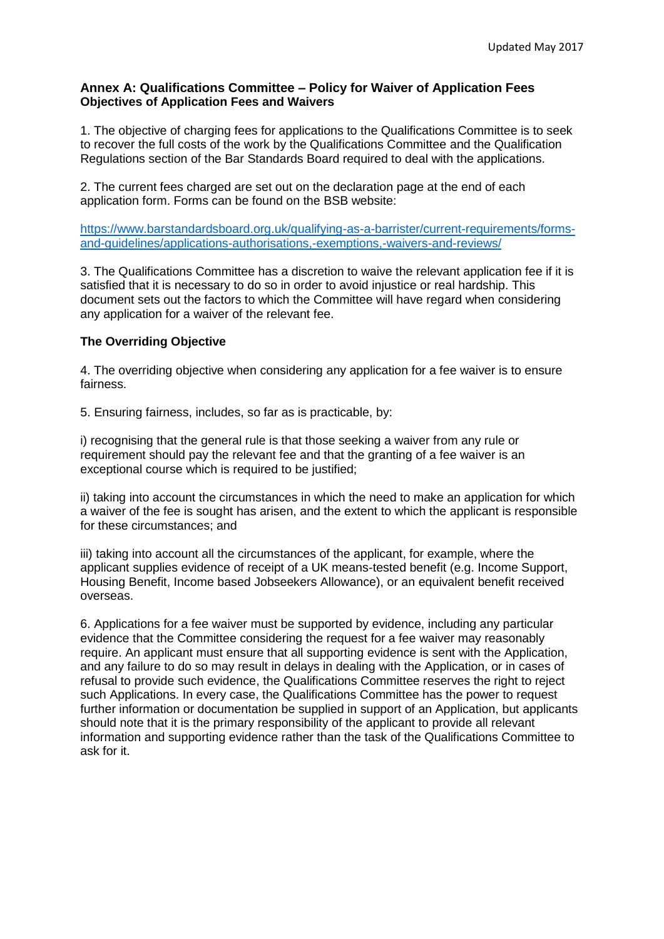# **Annex A: Qualifications Committee – Policy for Waiver of Application Fees Objectives of Application Fees and Waivers**

1. The objective of charging fees for applications to the Qualifications Committee is to seek to recover the full costs of the work by the Qualifications Committee and the Qualification Regulations section of the Bar Standards Board required to deal with the applications.

2. The current fees charged are set out on the declaration page at the end of each application form. Forms can be found on the BSB website:

[https://www.barstandardsboard.org.uk/qualifying-as-a-barrister/current-requirements/forms](https://www.barstandardsboard.org.uk/qualifying-as-a-barrister/current-requirements/forms-and-guidelines/applications-authorisations,-exemptions,-waivers-and-reviews/)[and-guidelines/applications-authorisations,-exemptions,-waivers-and-reviews/](https://www.barstandardsboard.org.uk/qualifying-as-a-barrister/current-requirements/forms-and-guidelines/applications-authorisations,-exemptions,-waivers-and-reviews/)

3. The Qualifications Committee has a discretion to waive the relevant application fee if it is satisfied that it is necessary to do so in order to avoid injustice or real hardship. This document sets out the factors to which the Committee will have regard when considering any application for a waiver of the relevant fee.

# **The Overriding Objective**

4. The overriding objective when considering any application for a fee waiver is to ensure fairness.

5. Ensuring fairness, includes, so far as is practicable, by:

i) recognising that the general rule is that those seeking a waiver from any rule or requirement should pay the relevant fee and that the granting of a fee waiver is an exceptional course which is required to be justified;

ii) taking into account the circumstances in which the need to make an application for which a waiver of the fee is sought has arisen, and the extent to which the applicant is responsible for these circumstances; and

iii) taking into account all the circumstances of the applicant, for example, where the applicant supplies evidence of receipt of a UK means-tested benefit (e.g. Income Support, Housing Benefit, Income based Jobseekers Allowance), or an equivalent benefit received overseas.

6. Applications for a fee waiver must be supported by evidence, including any particular evidence that the Committee considering the request for a fee waiver may reasonably require. An applicant must ensure that all supporting evidence is sent with the Application, and any failure to do so may result in delays in dealing with the Application, or in cases of refusal to provide such evidence, the Qualifications Committee reserves the right to reject such Applications. In every case, the Qualifications Committee has the power to request further information or documentation be supplied in support of an Application, but applicants should note that it is the primary responsibility of the applicant to provide all relevant information and supporting evidence rather than the task of the Qualifications Committee to ask for it.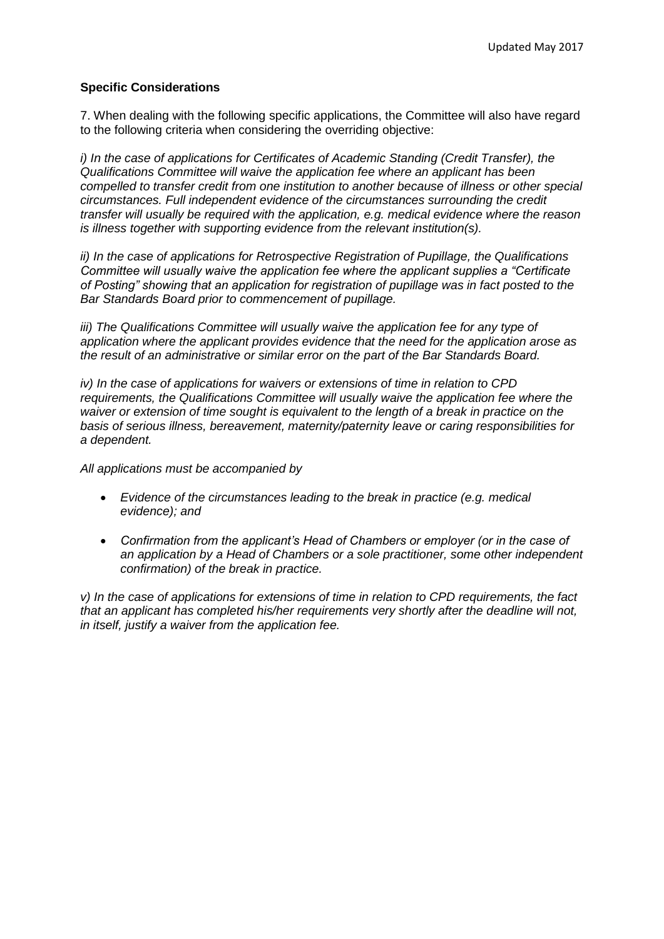# **Specific Considerations**

7. When dealing with the following specific applications, the Committee will also have regard to the following criteria when considering the overriding objective:

*i) In the case of applications for Certificates of Academic Standing (Credit Transfer), the Qualifications Committee will waive the application fee where an applicant has been compelled to transfer credit from one institution to another because of illness or other special circumstances. Full independent evidence of the circumstances surrounding the credit transfer will usually be required with the application, e.g. medical evidence where the reason is illness together with supporting evidence from the relevant institution(s).* 

*ii) In the case of applications for Retrospective Registration of Pupillage, the Qualifications Committee will usually waive the application fee where the applicant supplies a "Certificate of Posting" showing that an application for registration of pupillage was in fact posted to the Bar Standards Board prior to commencement of pupillage.* 

*iii) The Qualifications Committee will usually waive the application fee for any type of application where the applicant provides evidence that the need for the application arose as the result of an administrative or similar error on the part of the Bar Standards Board.* 

*iv) In the case of applications for waivers or extensions of time in relation to CPD requirements, the Qualifications Committee will usually waive the application fee where the waiver or extension of time sought is equivalent to the length of a break in practice on the basis of serious illness, bereavement, maternity/paternity leave or caring responsibilities for a dependent.* 

*All applications must be accompanied by* 

- *Evidence of the circumstances leading to the break in practice (e.g. medical evidence); and*
- *Confirmation from the applicant's Head of Chambers or employer (or in the case of an application by a Head of Chambers or a sole practitioner, some other independent confirmation) of the break in practice.*

*v) In the case of applications for extensions of time in relation to CPD requirements, the fact that an applicant has completed his/her requirements very shortly after the deadline will not, in itself, justify a waiver from the application fee.*